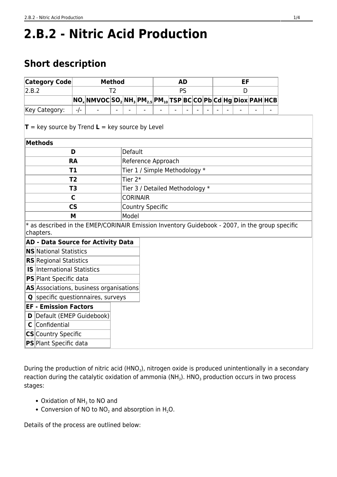# **2.B.2 - Nitric Acid Production**

# **Short description**

| <b>Category Code</b>                                                                                        | <b>Method</b>            |                                                                                                                               |                               |                                 | <b>AD</b> |           |  |  | EF |  |  |  |  |  |  |  |
|-------------------------------------------------------------------------------------------------------------|--------------------------|-------------------------------------------------------------------------------------------------------------------------------|-------------------------------|---------------------------------|-----------|-----------|--|--|----|--|--|--|--|--|--|--|
| 2.B.2                                                                                                       | T <sub>2</sub>           |                                                                                                                               |                               |                                 |           | <b>PS</b> |  |  | D  |  |  |  |  |  |  |  |
|                                                                                                             |                          | NO <sub>x</sub>  NMVOC SO <sub>2</sub>  NH <sub>3</sub>  PM <sub>2.5</sub>  PM <sub>10</sub>  TSP BC CO Pb Cd Hg Diox PAH HCB |                               |                                 |           |           |  |  |    |  |  |  |  |  |  |  |
| Key Category:                                                                                               | $-/-$                    |                                                                                                                               |                               |                                 |           |           |  |  |    |  |  |  |  |  |  |  |
| $T = \text{key source by Trend } L = \text{key source by Level}$                                            |                          |                                                                                                                               |                               |                                 |           |           |  |  |    |  |  |  |  |  |  |  |
| <b>Methods</b>                                                                                              |                          |                                                                                                                               |                               |                                 |           |           |  |  |    |  |  |  |  |  |  |  |
|                                                                                                             | D                        |                                                                                                                               |                               | Default                         |           |           |  |  |    |  |  |  |  |  |  |  |
| <b>RA</b>                                                                                                   |                          |                                                                                                                               |                               | Reference Approach              |           |           |  |  |    |  |  |  |  |  |  |  |
| T1                                                                                                          |                          |                                                                                                                               | Tier 1 / Simple Methodology * |                                 |           |           |  |  |    |  |  |  |  |  |  |  |
| T <sub>2</sub>                                                                                              |                          |                                                                                                                               |                               | Tier $2*$                       |           |           |  |  |    |  |  |  |  |  |  |  |
| T3                                                                                                          |                          |                                                                                                                               |                               | Tier 3 / Detailed Methodology * |           |           |  |  |    |  |  |  |  |  |  |  |
| $\mathsf{C}$                                                                                                |                          |                                                                                                                               |                               | <b>CORINAIR</b>                 |           |           |  |  |    |  |  |  |  |  |  |  |
|                                                                                                             | $\mathsf{CS}\phantom{0}$ |                                                                                                                               |                               | <b>Country Specific</b>         |           |           |  |  |    |  |  |  |  |  |  |  |
| Model<br>M                                                                                                  |                          |                                                                                                                               |                               |                                 |           |           |  |  |    |  |  |  |  |  |  |  |
| * as described in the EMEP/CORINAIR Emission Inventory Guidebook - 2007, in the group specific<br>chapters. |                          |                                                                                                                               |                               |                                 |           |           |  |  |    |  |  |  |  |  |  |  |
| <b>AD - Data Source for Activity Data</b>                                                                   |                          |                                                                                                                               |                               |                                 |           |           |  |  |    |  |  |  |  |  |  |  |
| <b>NS</b> National Statistics                                                                               |                          |                                                                                                                               |                               |                                 |           |           |  |  |    |  |  |  |  |  |  |  |
| <b>RS</b> Regional Statistics                                                                               |                          |                                                                                                                               |                               |                                 |           |           |  |  |    |  |  |  |  |  |  |  |
| <b>IS</b> International Statistics                                                                          |                          |                                                                                                                               |                               |                                 |           |           |  |  |    |  |  |  |  |  |  |  |
| <b>PS</b> Plant Specific data                                                                               |                          |                                                                                                                               |                               |                                 |           |           |  |  |    |  |  |  |  |  |  |  |
| AS Associations, business organisations                                                                     |                          |                                                                                                                               |                               |                                 |           |           |  |  |    |  |  |  |  |  |  |  |
| <b>Q</b> specific questionnaires, surveys                                                                   |                          |                                                                                                                               |                               |                                 |           |           |  |  |    |  |  |  |  |  |  |  |
| <b>EF - Emission Factors</b>                                                                                |                          |                                                                                                                               |                               |                                 |           |           |  |  |    |  |  |  |  |  |  |  |
| Default (EMEP Guidebook)<br>D                                                                               |                          |                                                                                                                               |                               |                                 |           |           |  |  |    |  |  |  |  |  |  |  |
| Confidential<br>C                                                                                           |                          |                                                                                                                               |                               |                                 |           |           |  |  |    |  |  |  |  |  |  |  |
| CS Country Specific                                                                                         |                          |                                                                                                                               |                               |                                 |           |           |  |  |    |  |  |  |  |  |  |  |
| <b>PS</b> Plant Specific data                                                                               |                          |                                                                                                                               |                               |                                 |           |           |  |  |    |  |  |  |  |  |  |  |

During the production of nitric acid (HNO<sub>3</sub>), nitrogen oxide is produced unintentionally in a secondary reaction during the catalytic oxidation of ammonia (NH<sub>3</sub>). HNO<sub>3</sub> production occurs in two process stages:

- Oxidation of  $NH<sub>3</sub>$  to NO and
- Conversion of NO to NO<sub>2</sub> and absorption in H<sub>2</sub>O.

Details of the process are outlined below: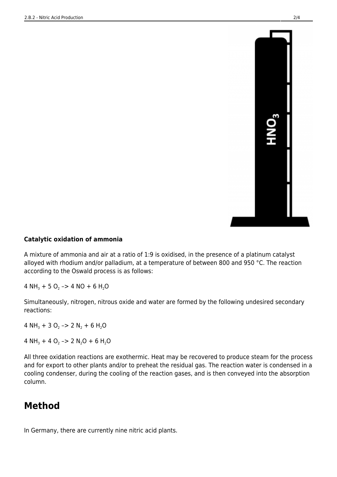

#### **Catalytic oxidation of ammonia**

A mixture of ammonia and air at a ratio of 1:9 is oxidised, in the presence of a platinum catalyst alloyed with rhodium and/or palladium, at a temperature of between 800 and 950 °C. The reaction according to the Oswald process is as follows:

4 NH<sub>3</sub> + 5 O<sub>2</sub> -> 4 NO + 6 H<sub>2</sub>O

Simultaneously, nitrogen, nitrous oxide and water are formed by the following undesired secondary reactions:

4 NH<sub>3</sub> + 3 O<sub>2</sub> -> 2 N<sub>2</sub> + 6 H<sub>2</sub>O

4 NH<sub>3</sub> + 4 O<sub>2</sub> -> 2 N<sub>2</sub>O + 6 H<sub>2</sub>O

All three oxidation reactions are exothermic. Heat may be recovered to produce steam for the process and for export to other plants and/or to preheat the residual gas. The reaction water is condensed in a cooling condenser, during the cooling of the reaction gases, and is then conveyed into the absorption column.

# **Method**

In Germany, there are currently nine nitric acid plants.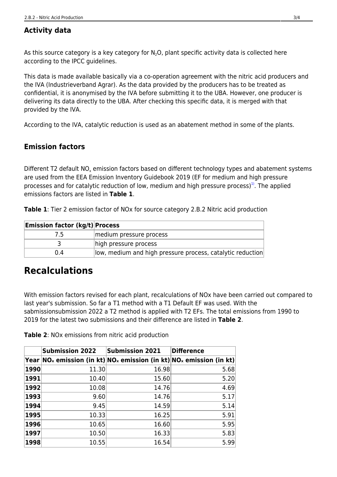### **Activity data**

As this source category is a key category for  $N_2O$ , plant specific activity data is collected here according to the IPCC guidelines.

This data is made available basically via a co-operation agreement with the nitric acid producers and the IVA (Industrieverband Agrar). As the data provided by the producers has to be treated as confidential, it is anonymised by the IVA before submitting it to the UBA. However, one producer is delivering its data directly to the UBA. After checking this specific data, it is merged with that provided by the IVA.

According to the IVA, catalytic reduction is used as an abatement method in some of the plants.

#### **Emission factors**

<span id="page-2-0"></span>Different T2 default NO<sub>x</sub> emission factors based on different technology types and abatement systems are used from the EEA Emission Inventory Guidebook 2019 (EF for medium and high pressure processes and for catalytic reduction of low, medium and high pressure process)<sup>1</sup>. The applied emissions factors are listed in **Table 1**.

**Table 1**: Tier 2 emission factor of NOx for source category 2.B.2 Nitric acid production

| <b>Emission factor (kg/t) Process</b> |                                                             |
|---------------------------------------|-------------------------------------------------------------|
| 7.5                                   | medium pressure process                                     |
|                                       | high pressure process                                       |
| 0.4                                   | llow, medium and high pressure process, catalytic reduction |

## **Recalculations**

With emission factors revised for each plant, recalculations of NOx have been carried out compared to last year's submission. So far a T1 method with a T1 Default EF was used. With the sabmissionsubmission 2022 a T2 method is applied with T2 EFs. The total emissions from 1990 to 2019 for the latest two submissions and their difference are listed in **Table 2**.

**Table 2**: NOx emissions from nitric acid production

|      | <b>Submission 2022</b> | <b>Submission 2021</b>                                                                                     | <b>Difference</b> |
|------|------------------------|------------------------------------------------------------------------------------------------------------|-------------------|
|      |                        | Year NO $_\mathrm{x}$ emission (in kt) NO $_\mathrm{x}$ emission (in kt) NO $_\mathrm{x}$ emission (in kt) |                   |
| 1990 | 11.30                  | 16.98                                                                                                      | 5.68              |
| 1991 | 10.40                  | 15.60                                                                                                      | 5.20              |
| 1992 | 10.08                  | 14.76                                                                                                      | 4.69              |
| 1993 | 9.60                   | 14.76                                                                                                      | 5.17              |
| 1994 | 9.45                   | 14.59                                                                                                      | 5.14              |
| 1995 | 10.33                  | 16.25                                                                                                      | 5.91              |
| 1996 | 10.65                  | 16.60                                                                                                      | 5.95              |
| 1997 | 10.50                  | 16.33                                                                                                      | 5.83              |
| 1998 | 10.55                  | 16.54                                                                                                      | 5.99              |